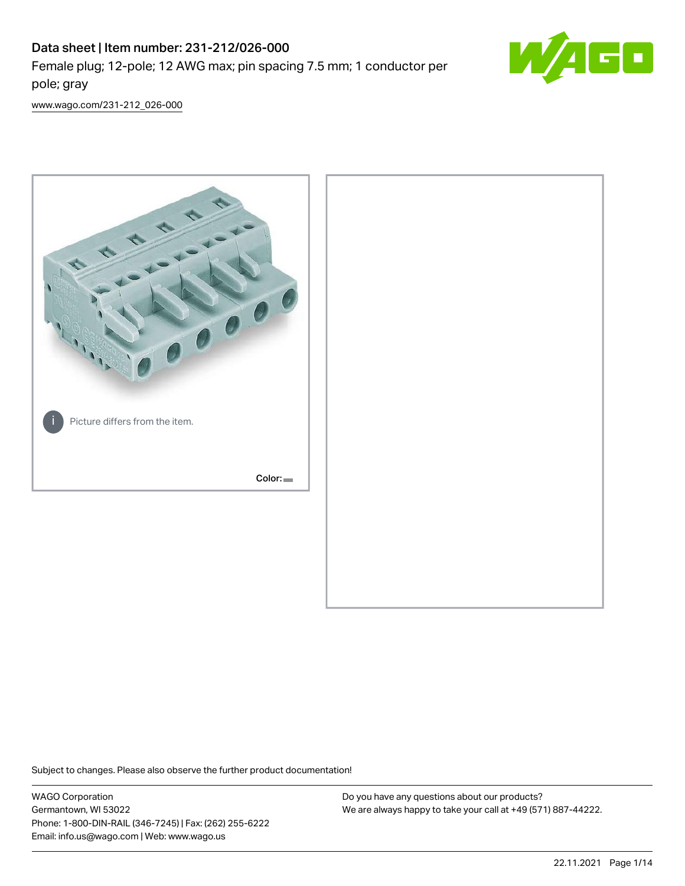# Data sheet | Item number: 231-212/026-000 Female plug; 12-pole; 12 AWG max; pin spacing 7.5 mm; 1 conductor per pole; gray



[www.wago.com/231-212\\_026-000](http://www.wago.com/231-212_026-000)



Subject to changes. Please also observe the further product documentation!

WAGO Corporation Germantown, WI 53022 Phone: 1-800-DIN-RAIL (346-7245) | Fax: (262) 255-6222 Email: info.us@wago.com | Web: www.wago.us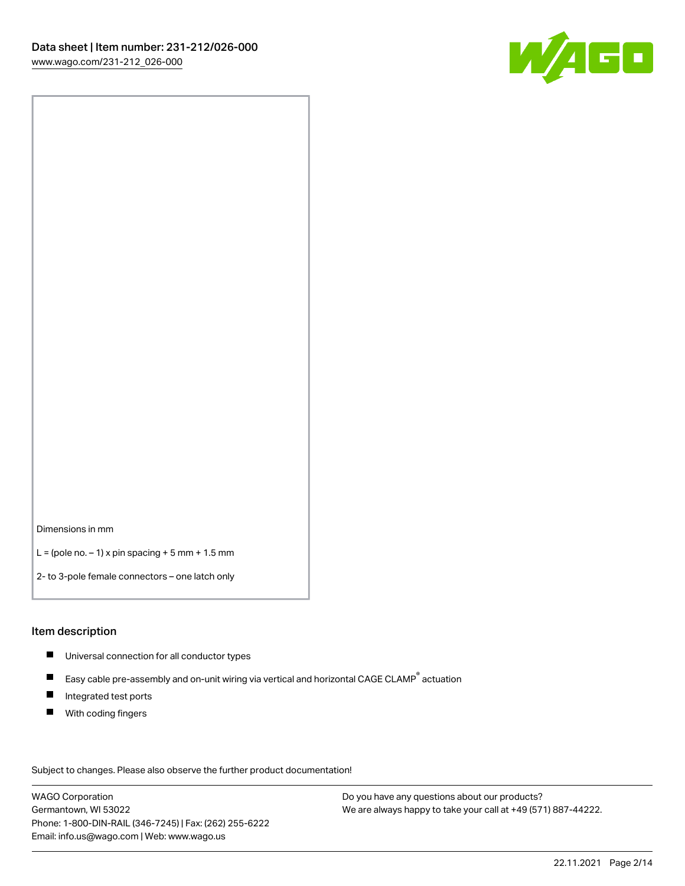

Dimensions in mm

 $L =$  (pole no.  $-1$ ) x pin spacing  $+5$  mm  $+ 1.5$  mm

2- to 3-pole female connectors – one latch only

#### Item description

- **Universal connection for all conductor types**
- Easy cable pre-assembly and on-unit wiring via vertical and horizontal CAGE CLAMP<sup>®</sup> actuation  $\blacksquare$
- $\blacksquare$ Integrated test ports
- $\blacksquare$ With coding fingers

Subject to changes. Please also observe the further product documentation! Data

WAGO Corporation Germantown, WI 53022 Phone: 1-800-DIN-RAIL (346-7245) | Fax: (262) 255-6222 Email: info.us@wago.com | Web: www.wago.us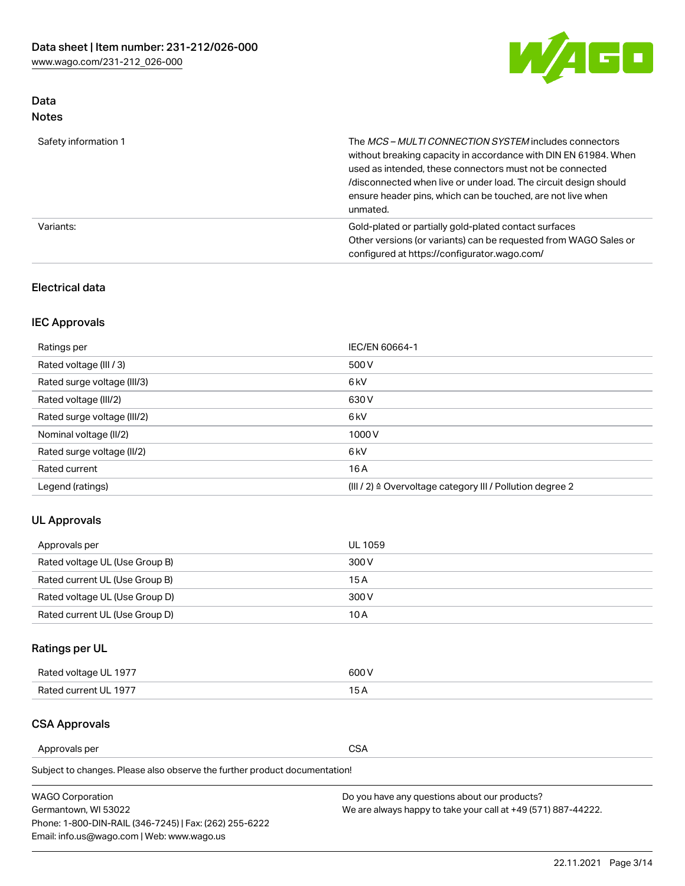

### Data Notes

| Safety information 1 | The <i>MCS – MULTI CONNECTION SYSTEM</i> includes connectors<br>without breaking capacity in accordance with DIN EN 61984. When<br>used as intended, these connectors must not be connected<br>/disconnected when live or under load. The circuit design should<br>ensure header pins, which can be touched, are not live when<br>unmated. |
|----------------------|--------------------------------------------------------------------------------------------------------------------------------------------------------------------------------------------------------------------------------------------------------------------------------------------------------------------------------------------|
| Variants:            | Gold-plated or partially gold-plated contact surfaces<br>Other versions (or variants) can be requested from WAGO Sales or<br>configured at https://configurator.wago.com/                                                                                                                                                                  |

### Electrical data

### IEC Approvals

| Ratings per                 | IEC/EN 60664-1                                                        |
|-----------------------------|-----------------------------------------------------------------------|
| Rated voltage (III / 3)     | 500 V                                                                 |
| Rated surge voltage (III/3) | 6 <sub>kV</sub>                                                       |
| Rated voltage (III/2)       | 630 V                                                                 |
| Rated surge voltage (III/2) | 6 <sub>kV</sub>                                                       |
| Nominal voltage (II/2)      | 1000V                                                                 |
| Rated surge voltage (II/2)  | 6 <sub>kV</sub>                                                       |
| Rated current               | 16A                                                                   |
| Legend (ratings)            | $(III / 2)$ $\triangle$ Overvoltage category III / Pollution degree 2 |

### UL Approvals

| Approvals per                  | UL 1059 |
|--------------------------------|---------|
| Rated voltage UL (Use Group B) | 300 V   |
| Rated current UL (Use Group B) | 15 A    |
| Rated voltage UL (Use Group D) | 300 V   |
| Rated current UL (Use Group D) | 10 A    |

# Ratings per UL

| Rated voltage UL 1977 | 300 V |
|-----------------------|-------|
| Rated current UL 1977 |       |

#### CSA Approvals

Approvals per CSA

Subject to changes. Please also observe the further product documentation!

| <b>WAGO Corporation</b>                                | Do you have any questions about our products?                 |
|--------------------------------------------------------|---------------------------------------------------------------|
| Germantown, WI 53022                                   | We are always happy to take your call at +49 (571) 887-44222. |
| Phone: 1-800-DIN-RAIL (346-7245)   Fax: (262) 255-6222 |                                                               |
| Email: info.us@wago.com   Web: www.wago.us             |                                                               |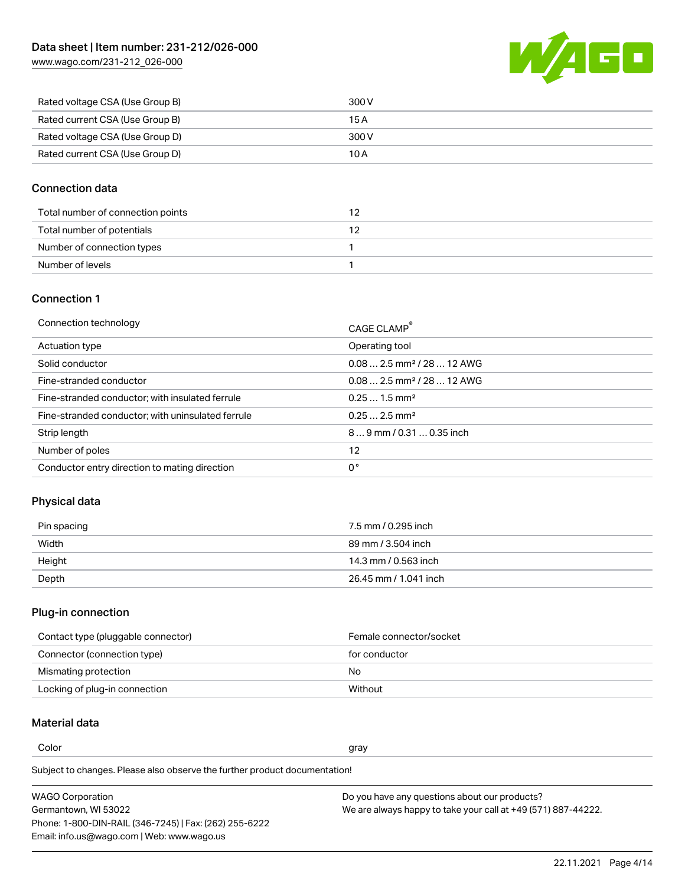[www.wago.com/231-212\\_026-000](http://www.wago.com/231-212_026-000)



| Rated voltage CSA (Use Group B) | 300 V |
|---------------------------------|-------|
| Rated current CSA (Use Group B) | 15 A  |
| Rated voltage CSA (Use Group D) | 300 V |
| Rated current CSA (Use Group D) | 10 A  |

### Connection data

| Total number of connection points |  |
|-----------------------------------|--|
| Total number of potentials        |  |
| Number of connection types        |  |
| Number of levels                  |  |

#### Connection 1

| Connection technology                             | CAGE CLAMP®                             |
|---------------------------------------------------|-----------------------------------------|
| Actuation type                                    | Operating tool                          |
| Solid conductor                                   | $0.08$ 2.5 mm <sup>2</sup> / 28  12 AWG |
| Fine-stranded conductor                           | $0.082.5$ mm <sup>2</sup> / 28  12 AWG  |
| Fine-stranded conductor; with insulated ferrule   | $0.251.5$ mm <sup>2</sup>               |
| Fine-stranded conductor; with uninsulated ferrule | $0.252.5$ mm <sup>2</sup>               |
| Strip length                                      | $89$ mm / 0.31  0.35 inch               |
| Number of poles                                   | 12                                      |
| Conductor entry direction to mating direction     | 0°                                      |
|                                                   |                                         |

# Physical data

| Pin spacing | 7.5 mm / 0.295 inch   |
|-------------|-----------------------|
| Width       | 89 mm / 3.504 inch    |
| Height      | 14.3 mm / 0.563 inch  |
| Depth       | 26.45 mm / 1.041 inch |

# Plug-in connection

| Contact type (pluggable connector) | Female connector/socket |
|------------------------------------|-------------------------|
| Connector (connection type)        | for conductor           |
| Mismating protection               | No                      |
| Locking of plug-in connection      | Without                 |

### Material data

Color and the color of the color of the color of the color of the color of the color of the color of the color

Subject to changes. Please also observe the further product documentation! Material group I

| <b>WAGO Corporation</b>                                | Do you have any questions about our products?                 |
|--------------------------------------------------------|---------------------------------------------------------------|
| Germantown, WI 53022                                   | We are always happy to take your call at +49 (571) 887-44222. |
| Phone: 1-800-DIN-RAIL (346-7245)   Fax: (262) 255-6222 |                                                               |
| Email: info.us@wago.com   Web: www.wago.us             |                                                               |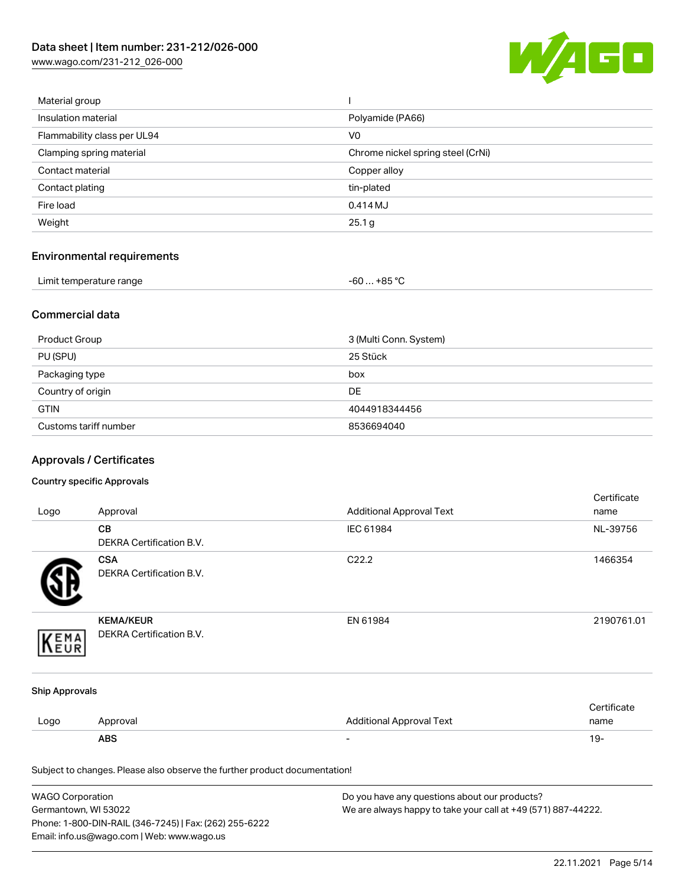[www.wago.com/231-212\\_026-000](http://www.wago.com/231-212_026-000)



| Material group              |                                   |
|-----------------------------|-----------------------------------|
| Insulation material         | Polyamide (PA66)                  |
| Flammability class per UL94 | V <sub>0</sub>                    |
| Clamping spring material    | Chrome nickel spring steel (CrNi) |
| Contact material            | Copper alloy                      |
| Contact plating             | tin-plated                        |
| Fire load                   | 0.414 MJ                          |
| Weight                      | 25.1 g                            |
|                             |                                   |

# Environmental requirements

| Limit temperature range | $-60+85 °C$ |
|-------------------------|-------------|
|-------------------------|-------------|

### Commercial data

| Product Group         | 3 (Multi Conn. System) |
|-----------------------|------------------------|
| PU (SPU)              | 25 Stück               |
| Packaging type        | box                    |
| Country of origin     | <b>DE</b>              |
| <b>GTIN</b>           | 4044918344456          |
| Customs tariff number | 8536694040             |

# Approvals / Certificates

#### Country specific Approvals

| Logo                  | Approval                                                                   | <b>Additional Approval Text</b> | Certificate<br>name |
|-----------------------|----------------------------------------------------------------------------|---------------------------------|---------------------|
|                       | CВ<br>DEKRA Certification B.V.                                             | IEC 61984                       | NL-39756            |
|                       | <b>CSA</b><br>DEKRA Certification B.V.                                     | C22.2                           | 1466354             |
| EMA<br>EUR            | <b>KEMA/KEUR</b><br>DEKRA Certification B.V.                               | EN 61984                        | 2190761.01          |
| <b>Ship Approvals</b> |                                                                            |                                 |                     |
| Logo                  | Approval                                                                   | <b>Additional Approval Text</b> | Certificate<br>name |
|                       | <b>ABS</b>                                                                 | $\overline{\phantom{a}}$        | $19 -$              |
|                       | Subject to changes. Please also observe the further product documentation! |                                 |                     |

| <b>WAGO Corporation</b>                                | Do you have any questions about our products?                 |
|--------------------------------------------------------|---------------------------------------------------------------|
| Germantown, WI 53022                                   | We are always happy to take your call at +49 (571) 887-44222. |
| Phone: 1-800-DIN-RAIL (346-7245)   Fax: (262) 255-6222 |                                                               |
| Email: info.us@wago.com   Web: www.wago.us             |                                                               |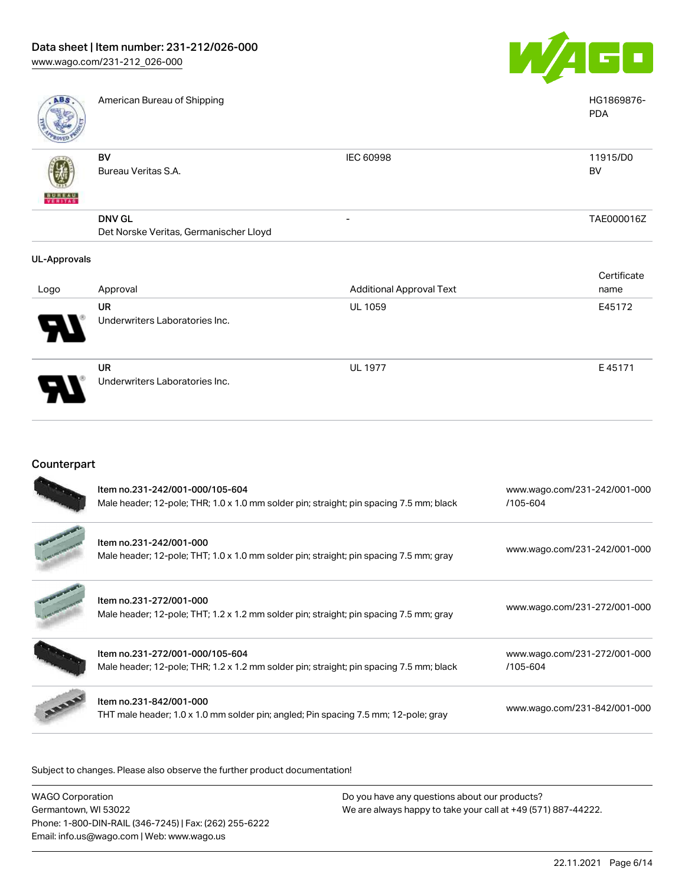

| ABS                 | American Bureau of Shipping            |                                 | HG1869876-<br><b>PDA</b> |
|---------------------|----------------------------------------|---------------------------------|--------------------------|
|                     | BV                                     | IEC 60998                       | 11915/D0                 |
|                     | Bureau Veritas S.A.                    |                                 | BV                       |
| <b>BUNEAU</b>       |                                        |                                 |                          |
|                     | <b>DNV GL</b>                          |                                 | TAE000016Z               |
|                     | Det Norske Veritas, Germanischer Lloyd |                                 |                          |
| <b>UL-Approvals</b> |                                        |                                 |                          |
|                     |                                        |                                 | Certificate              |
| Logo                | Approval                               | <b>Additional Approval Text</b> | name                     |
|                     | <b>UR</b>                              | <b>UL 1059</b>                  | E45172                   |
|                     | Underwriters Laboratories Inc.         |                                 |                          |

UR Underwriters Laboratories Inc. UL 1977 E 45171

### Counterpart

| Item no.231-242/001-000/105-604<br>Male header; 12-pole; THR; 1.0 x 1.0 mm solder pin; straight; pin spacing 7.5 mm; black | www.wago.com/231-242/001-000<br>/105-604 |
|----------------------------------------------------------------------------------------------------------------------------|------------------------------------------|
| Item no.231-242/001-000<br>Male header; 12-pole; THT; 1.0 x 1.0 mm solder pin; straight; pin spacing 7.5 mm; gray          | www.wago.com/231-242/001-000             |
| Item no.231-272/001-000<br>Male header; 12-pole; THT; 1.2 x 1.2 mm solder pin; straight; pin spacing 7.5 mm; gray          | www.wago.com/231-272/001-000             |
| Item no.231-272/001-000/105-604<br>Male header; 12-pole; THR; 1.2 x 1.2 mm solder pin; straight; pin spacing 7.5 mm; black | www.wago.com/231-272/001-000<br>/105-604 |
| Item no.231-842/001-000<br>THT male header; 1.0 x 1.0 mm solder pin; angled; Pin spacing 7.5 mm; 12-pole; gray             | www.wago.com/231-842/001-000             |

Subject to changes. Please also observe the further product documentation!

| <b>WAGO Corporation</b>                                |
|--------------------------------------------------------|
| Germantown, WI 53022                                   |
| Phone: 1-800-DIN-RAIL (346-7245)   Fax: (262) 255-6222 |
| Email: info.us@wago.com   Web: www.wago.us             |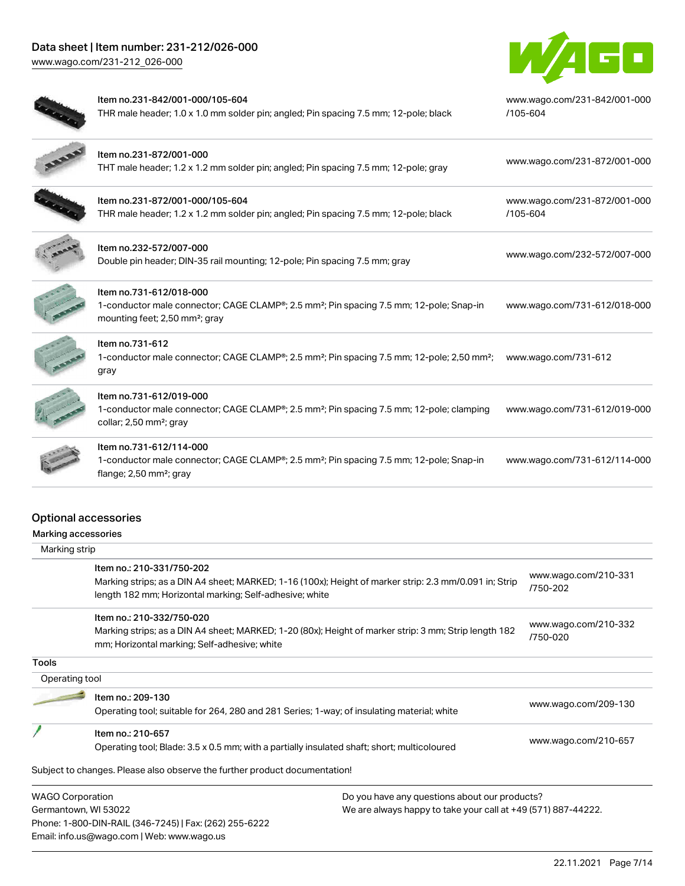# Data sheet | Item number: 231-212/026-000

[www.wago.com/231-212\\_026-000](http://www.wago.com/231-212_026-000)



|                                                    | Item no.231-842/001-000/105-604<br>THR male header; 1.0 x 1.0 mm solder pin; angled; Pin spacing 7.5 mm; 12-pole; black                                                                        | www.wago.com/231-842/001-000<br>/105-604 |
|----------------------------------------------------|------------------------------------------------------------------------------------------------------------------------------------------------------------------------------------------------|------------------------------------------|
|                                                    | Item no.231-872/001-000<br>THT male header; 1.2 x 1.2 mm solder pin; angled; Pin spacing 7.5 mm; 12-pole; gray                                                                                 | www.wago.com/231-872/001-000             |
|                                                    | Item no.231-872/001-000/105-604<br>THR male header; 1.2 x 1.2 mm solder pin; angled; Pin spacing 7.5 mm; 12-pole; black                                                                        | www.wago.com/231-872/001-000<br>/105-604 |
|                                                    | Item no.232-572/007-000<br>Double pin header; DIN-35 rail mounting; 12-pole; Pin spacing 7.5 mm; gray                                                                                          | www.wago.com/232-572/007-000             |
|                                                    | Item no.731-612/018-000<br>1-conductor male connector; CAGE CLAMP®; 2.5 mm <sup>2</sup> ; Pin spacing 7.5 mm; 12-pole; Snap-in<br>mounting feet; 2,50 mm <sup>2</sup> ; gray                   | www.wago.com/731-612/018-000             |
|                                                    | Item no.731-612<br>1-conductor male connector; CAGE CLAMP®; 2.5 mm <sup>2</sup> ; Pin spacing 7.5 mm; 12-pole; 2,50 mm <sup>2</sup> ;<br>gray                                                  | www.wago.com/731-612                     |
|                                                    | Item no.731-612/019-000<br>1-conductor male connector; CAGE CLAMP®; 2.5 mm <sup>2</sup> ; Pin spacing 7.5 mm; 12-pole; clamping<br>collar; 2,50 mm <sup>2</sup> ; gray                         | www.wago.com/731-612/019-000             |
|                                                    | Item no.731-612/114-000<br>1-conductor male connector; CAGE CLAMP®; 2.5 mm <sup>2</sup> ; Pin spacing 7.5 mm; 12-pole; Snap-in<br>flange; 2,50 mm <sup>2</sup> ; gray                          | www.wago.com/731-612/114-000             |
| <b>Optional accessories</b><br>Marking accessories |                                                                                                                                                                                                |                                          |
| Marking strip                                      |                                                                                                                                                                                                |                                          |
|                                                    | Item no.: 210-331/750-202<br>Marking strips; as a DIN A4 sheet; MARKED; 1-16 (100x); Height of marker strip: 2.3 mm/0.091 in; Strip<br>length 182 mm; Horizontal marking; Self-adhesive; white | www.wago.com/210-331<br>/750-202         |
|                                                    | Item no.: 210-332/750-020                                                                                                                                                                      |                                          |
|                                                    | Marking strips; as a DIN A4 sheet; MARKED; 1-20 (80x); Height of marker strip: 3 mm; Strip length 182<br>mm; Horizontal marking; Self-adhesive; white                                          | www.wago.com/210-332<br>/750-020         |
| Tools                                              |                                                                                                                                                                                                |                                          |
| Operating tool                                     |                                                                                                                                                                                                |                                          |
|                                                    | Item no.: 209-130<br>Operating tool; suitable for 264, 280 and 281 Series; 1-way; of insulating material; white                                                                                | www.wago.com/209-130                     |
|                                                    | Item no.: 210-657                                                                                                                                                                              |                                          |

Operating tool; Blade: 3.5 x 0.5 mm; with a partially insulated shaft; short; multicoloured [www.wago.com/210-657](http://www.wago.com/210-657)

Subject to changes. Please also observe the further product documentation!

WAGO Corporation Germantown, WI 53022 Phone: 1-800-DIN-RAIL (346-7245) | Fax: (262) 255-6222 Email: info.us@wago.com | Web: www.wago.us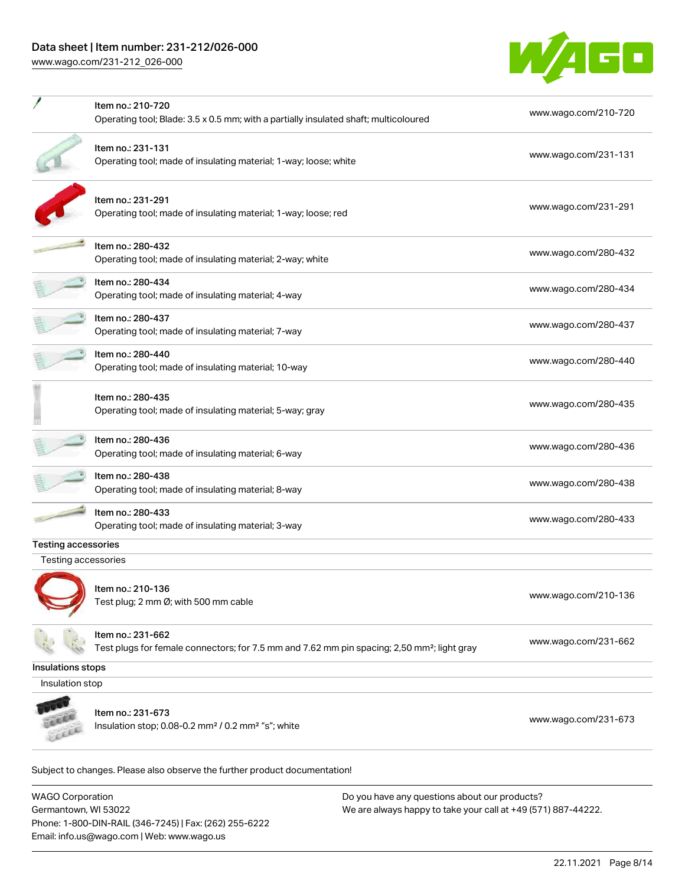# Data sheet | Item number: 231-212/026-000

[www.wago.com/231-212\\_026-000](http://www.wago.com/231-212_026-000)



|                                                   | Item no.: 210-720<br>Operating tool; Blade: 3.5 x 0.5 mm; with a partially insulated shaft; multicoloured                    | www.wago.com/210-720 |
|---------------------------------------------------|------------------------------------------------------------------------------------------------------------------------------|----------------------|
|                                                   | Item no.: 231-131<br>Operating tool; made of insulating material; 1-way; loose; white                                        | www.wago.com/231-131 |
|                                                   | Item no.: 231-291<br>Operating tool; made of insulating material; 1-way; loose; red                                          | www.wago.com/231-291 |
|                                                   | Item no.: 280-432<br>Operating tool; made of insulating material; 2-way; white                                               | www.wago.com/280-432 |
|                                                   | Item no.: 280-434<br>Operating tool; made of insulating material; 4-way                                                      | www.wago.com/280-434 |
|                                                   | Item no.: 280-437<br>Operating tool; made of insulating material; 7-way                                                      | www.wago.com/280-437 |
|                                                   | Item no.: 280-440<br>Operating tool; made of insulating material; 10-way                                                     | www.wago.com/280-440 |
|                                                   | Item no.: 280-435<br>Operating tool; made of insulating material; 5-way; gray                                                | www.wago.com/280-435 |
|                                                   | Item no.: 280-436<br>Operating tool; made of insulating material; 6-way                                                      | www.wago.com/280-436 |
|                                                   | Item no.: 280-438<br>Operating tool; made of insulating material; 8-way                                                      | www.wago.com/280-438 |
|                                                   | Item no.: 280-433<br>Operating tool; made of insulating material; 3-way                                                      | www.wago.com/280-433 |
| <b>Testing accessories</b><br>Testing accessories |                                                                                                                              |                      |
|                                                   | Item no.: 210-136<br>Test plug; 2 mm Ø; with 500 mm cable                                                                    | www.wago.com/210-136 |
|                                                   | Item no.: 231-662<br>Test plugs for female connectors; for 7.5 mm and 7.62 mm pin spacing; 2,50 mm <sup>2</sup> ; light gray | www.wago.com/231-662 |
| Insulations stops                                 |                                                                                                                              |                      |
| Insulation stop                                   |                                                                                                                              |                      |
|                                                   | Item no.: 231-673<br>Insulation stop; 0.08-0.2 mm <sup>2</sup> / 0.2 mm <sup>2</sup> "s"; white                              | www.wago.com/231-673 |

Subject to changes. Please also observe the further product documentation!

WAGO Corporation Germantown, WI 53022 Phone: 1-800-DIN-RAIL (346-7245) | Fax: (262) 255-6222 Email: info.us@wago.com | Web: www.wago.us Do you have any questions about our products? We are always happy to take your call at +49 (571) 887-44222.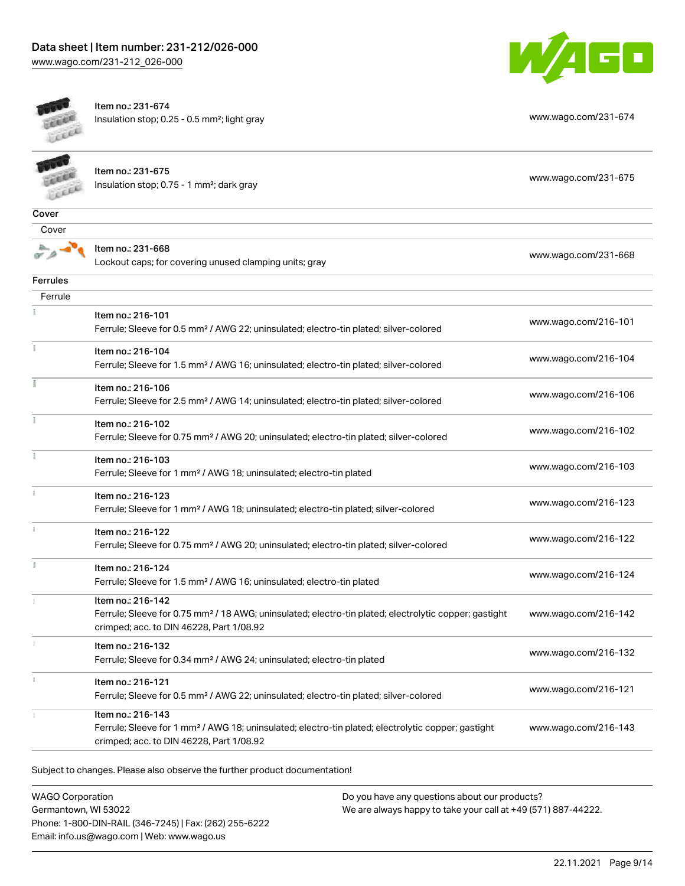



Item no.: 231-674 Insulation stop; 0.25 - 0.5 mm²; light gray [www.wago.com/231-674](http://www.wago.com/231-674)

|                 | Item no.: 231-675<br>Insulation stop; 0.75 - 1 mm <sup>2</sup> ; dark gray                                                                                                         | www.wago.com/231-675 |
|-----------------|------------------------------------------------------------------------------------------------------------------------------------------------------------------------------------|----------------------|
| Cover           |                                                                                                                                                                                    |                      |
| Cover           |                                                                                                                                                                                    |                      |
|                 | Item no.: 231-668<br>Lockout caps; for covering unused clamping units; gray                                                                                                        | www.wago.com/231-668 |
| <b>Ferrules</b> |                                                                                                                                                                                    |                      |
| Ferrule         |                                                                                                                                                                                    |                      |
|                 | Item no.: 216-101<br>Ferrule; Sleeve for 0.5 mm <sup>2</sup> / AWG 22; uninsulated; electro-tin plated; silver-colored                                                             | www.wago.com/216-101 |
| Ĭ               | Item no.: 216-104<br>Ferrule; Sleeve for 1.5 mm <sup>2</sup> / AWG 16; uninsulated; electro-tin plated; silver-colored                                                             | www.wago.com/216-104 |
|                 | Item no.: 216-106<br>Ferrule; Sleeve for 2.5 mm <sup>2</sup> / AWG 14; uninsulated; electro-tin plated; silver-colored                                                             | www.wago.com/216-106 |
| ł               | Item no.: 216-102<br>Ferrule; Sleeve for 0.75 mm <sup>2</sup> / AWG 20; uninsulated; electro-tin plated; silver-colored                                                            | www.wago.com/216-102 |
| Î.              | Item no.: 216-103<br>Ferrule; Sleeve for 1 mm <sup>2</sup> / AWG 18; uninsulated; electro-tin plated                                                                               | www.wago.com/216-103 |
| i               | Item no.: 216-123<br>Ferrule; Sleeve for 1 mm <sup>2</sup> / AWG 18; uninsulated; electro-tin plated; silver-colored                                                               | www.wago.com/216-123 |
| î.              | Item no.: 216-122<br>Ferrule; Sleeve for 0.75 mm <sup>2</sup> / AWG 20; uninsulated; electro-tin plated; silver-colored                                                            | www.wago.com/216-122 |
| ă.              | Item no.: 216-124<br>Ferrule; Sleeve for 1.5 mm <sup>2</sup> / AWG 16; uninsulated; electro-tin plated                                                                             | www.wago.com/216-124 |
|                 | Item no.: 216-142<br>Ferrule; Sleeve for 0.75 mm <sup>2</sup> / 18 AWG; uninsulated; electro-tin plated; electrolytic copper; gastight<br>crimped; acc. to DIN 46228, Part 1/08.92 | www.wago.com/216-142 |
|                 | Item no.: 216-132<br>Ferrule; Sleeve for 0.34 mm <sup>2</sup> / AWG 24; uninsulated; electro-tin plated                                                                            | www.wago.com/216-132 |
| i.              | Item no.: 216-121<br>Ferrule; Sleeve for 0.5 mm <sup>2</sup> / AWG 22; uninsulated; electro-tin plated; silver-colored                                                             | www.wago.com/216-121 |
|                 | Item no.: 216-143<br>Ferrule; Sleeve for 1 mm <sup>2</sup> / AWG 18; uninsulated; electro-tin plated; electrolytic copper; gastight<br>crimped; acc. to DIN 46228, Part 1/08.92    | www.wago.com/216-143 |
|                 |                                                                                                                                                                                    |                      |

Subject to changes. Please also observe the further product documentation!

WAGO Corporation Germantown, WI 53022 Phone: 1-800-DIN-RAIL (346-7245) | Fax: (262) 255-6222 Email: info.us@wago.com | Web: www.wago.us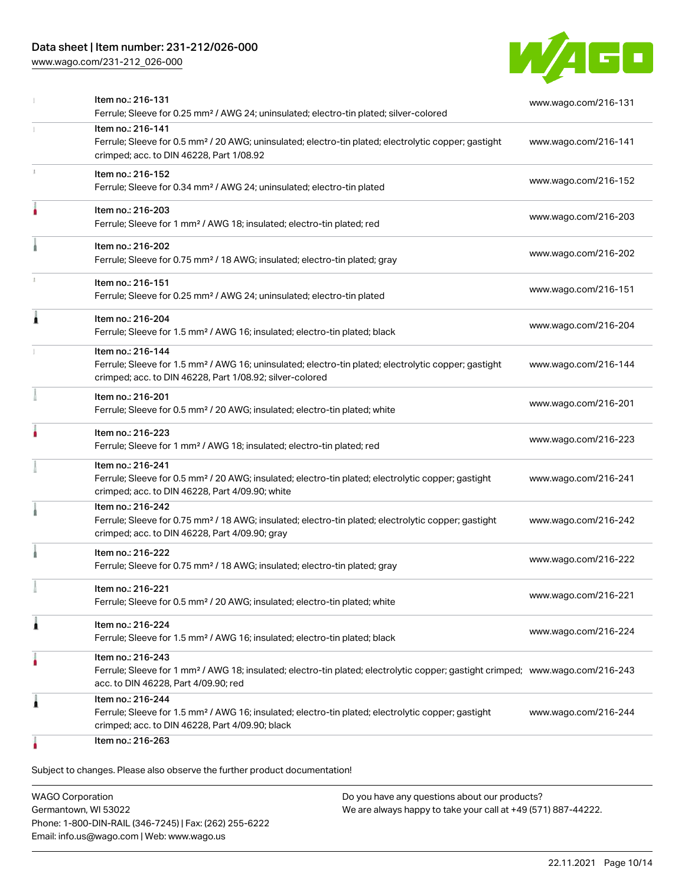### Data sheet | Item number: 231-212/026-000

[www.wago.com/231-212\\_026-000](http://www.wago.com/231-212_026-000)



|    | Item no.: 216-131<br>Ferrule; Sleeve for 0.25 mm <sup>2</sup> / AWG 24; uninsulated; electro-tin plated; silver-colored                                                                                 | www.wago.com/216-131 |
|----|---------------------------------------------------------------------------------------------------------------------------------------------------------------------------------------------------------|----------------------|
|    | Item no.: 216-141<br>Ferrule; Sleeve for 0.5 mm <sup>2</sup> / 20 AWG; uninsulated; electro-tin plated; electrolytic copper; gastight<br>crimped; acc. to DIN 46228, Part 1/08.92                       | www.wago.com/216-141 |
| J. | Item no.: 216-152<br>Ferrule; Sleeve for 0.34 mm <sup>2</sup> / AWG 24; uninsulated; electro-tin plated                                                                                                 | www.wago.com/216-152 |
|    | Item no.: 216-203<br>Ferrule; Sleeve for 1 mm <sup>2</sup> / AWG 18; insulated; electro-tin plated; red                                                                                                 | www.wago.com/216-203 |
|    | Item no.: 216-202<br>Ferrule; Sleeve for 0.75 mm <sup>2</sup> / 18 AWG; insulated; electro-tin plated; gray                                                                                             | www.wago.com/216-202 |
|    | Item no.: 216-151<br>Ferrule; Sleeve for 0.25 mm <sup>2</sup> / AWG 24; uninsulated; electro-tin plated                                                                                                 | www.wago.com/216-151 |
| ٨  | Item no.: 216-204<br>Ferrule; Sleeve for 1.5 mm <sup>2</sup> / AWG 16; insulated; electro-tin plated; black                                                                                             | www.wago.com/216-204 |
|    | Item no.: 216-144<br>Ferrule; Sleeve for 1.5 mm <sup>2</sup> / AWG 16; uninsulated; electro-tin plated; electrolytic copper; gastight<br>crimped; acc. to DIN 46228, Part 1/08.92; silver-colored       | www.wago.com/216-144 |
|    | Item no.: 216-201<br>Ferrule; Sleeve for 0.5 mm <sup>2</sup> / 20 AWG; insulated; electro-tin plated; white                                                                                             | www.wago.com/216-201 |
|    | Item no.: 216-223<br>Ferrule; Sleeve for 1 mm <sup>2</sup> / AWG 18; insulated; electro-tin plated; red                                                                                                 | www.wago.com/216-223 |
|    | Item no.: 216-241<br>Ferrule; Sleeve for 0.5 mm <sup>2</sup> / 20 AWG; insulated; electro-tin plated; electrolytic copper; gastight<br>crimped; acc. to DIN 46228, Part 4/09.90; white                  | www.wago.com/216-241 |
|    | Item no.: 216-242<br>Ferrule; Sleeve for 0.75 mm <sup>2</sup> / 18 AWG; insulated; electro-tin plated; electrolytic copper; gastight<br>crimped; acc. to DIN 46228, Part 4/09.90; gray                  | www.wago.com/216-242 |
|    | Item no.: 216-222<br>Ferrule; Sleeve for 0.75 mm <sup>2</sup> / 18 AWG; insulated; electro-tin plated; gray                                                                                             | www.wago.com/216-222 |
|    | Item no.: 216-221<br>Ferrule; Sleeve for 0.5 mm <sup>2</sup> / 20 AWG; insulated; electro-tin plated; white                                                                                             | www.wago.com/216-221 |
| 1  | Item no.: 216-224<br>Ferrule; Sleeve for 1.5 mm <sup>2</sup> / AWG 16; insulated; electro-tin plated; black                                                                                             | www.wago.com/216-224 |
|    | Item no.: 216-243<br>Ferrule; Sleeve for 1 mm <sup>2</sup> / AWG 18; insulated; electro-tin plated; electrolytic copper; gastight crimped; www.wago.com/216-243<br>acc. to DIN 46228, Part 4/09.90; red |                      |
| 1  | Item no.: 216-244<br>Ferrule; Sleeve for 1.5 mm <sup>2</sup> / AWG 16; insulated; electro-tin plated; electrolytic copper; gastight<br>crimped; acc. to DIN 46228, Part 4/09.90; black                  | www.wago.com/216-244 |
|    | Item no.: 216-263                                                                                                                                                                                       |                      |

WAGO Corporation Germantown, WI 53022 Phone: 1-800-DIN-RAIL (346-7245) | Fax: (262) 255-6222 Email: info.us@wago.com | Web: www.wago.us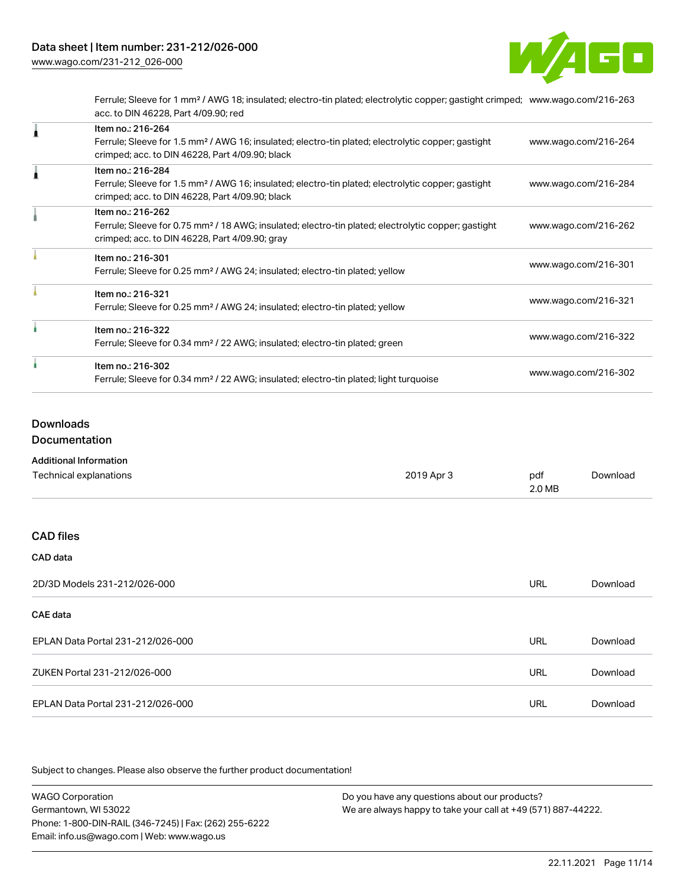

Ferrule; Sleeve for 1 mm² / AWG 18; insulated; electro-tin plated; electrolytic copper; gastight crimped; [www.wago.com/216-263](http://www.wago.com/216-263) acc. to DIN 46228, Part 4/09.90; red

| Item no.: 216-264<br>Ferrule; Sleeve for 1.5 mm <sup>2</sup> / AWG 16; insulated; electro-tin plated; electrolytic copper; gastight<br>crimped; acc. to DIN 46228, Part 4/09.90; black | www.wago.com/216-264 |
|----------------------------------------------------------------------------------------------------------------------------------------------------------------------------------------|----------------------|
| Item no.: 216-284<br>Ferrule; Sleeve for 1.5 mm <sup>2</sup> / AWG 16; insulated; electro-tin plated; electrolytic copper; gastight<br>crimped; acc. to DIN 46228, Part 4/09.90; black | www.wago.com/216-284 |
| Item no.: 216-262<br>Ferrule; Sleeve for 0.75 mm <sup>2</sup> / 18 AWG; insulated; electro-tin plated; electrolytic copper; gastight<br>crimped; acc. to DIN 46228, Part 4/09.90; gray | www.wago.com/216-262 |
| Item no.: 216-301<br>Ferrule; Sleeve for 0.25 mm <sup>2</sup> / AWG 24; insulated; electro-tin plated; yellow                                                                          | www.wago.com/216-301 |
| Item no.: 216-321<br>Ferrule; Sleeve for 0.25 mm <sup>2</sup> / AWG 24; insulated; electro-tin plated; yellow                                                                          | www.wago.com/216-321 |
| Item no.: 216-322<br>Ferrule; Sleeve for 0.34 mm <sup>2</sup> / 22 AWG; insulated; electro-tin plated; green                                                                           | www.wago.com/216-322 |
| Item no.: 216-302<br>Ferrule; Sleeve for 0.34 mm <sup>2</sup> / 22 AWG; insulated; electro-tin plated; light turquoise                                                                 | www.wago.com/216-302 |

### Downloads

Documentation

| <b>Additional Information</b>     |            |               |          |
|-----------------------------------|------------|---------------|----------|
| Technical explanations            | 2019 Apr 3 | pdf<br>2.0 MB | Download |
| <b>CAD files</b>                  |            |               |          |
| CAD data                          |            |               |          |
| 2D/3D Models 231-212/026-000      |            | URL           | Download |
| <b>CAE</b> data                   |            |               |          |
| EPLAN Data Portal 231-212/026-000 |            | URL           | Download |
| ZUKEN Portal 231-212/026-000      |            | URL           | Download |

EPLAN Data Portal 231-212/026-000 URL [Download](https://www.wago.com/global/d/EPLAN_URLS_231-212_026-000)

Subject to changes. Please also observe the further product documentation!

WAGO Corporation Germantown, WI 53022 Phone: 1-800-DIN-RAIL (346-7245) | Fax: (262) 255-6222 Email: info.us@wago.com | Web: www.wago.us Do you have any questions about our products? We are always happy to take your call at +49 (571) 887-44222.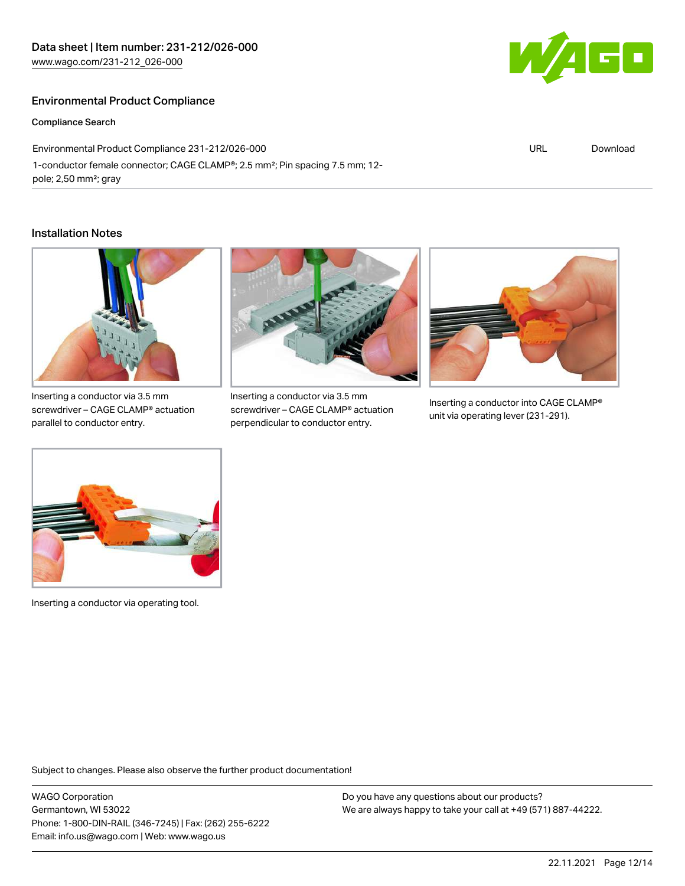### Environmental Product Compliance

Compliance Search

Environmental Product Compliance 231-212/026-000 1-conductor female connector; CAGE CLAMP®; 2.5 mm²; Pin spacing 7.5 mm; 12 pole; 2,50 mm²; gray

#### Installation Notes



screwdriver – CAGE CLAMP® actuation parallel to conductor entry.



Inserting a conductor via 3.5 mm screwdriver – CAGE CLAMP® actuation perpendicular to conductor entry.



Inserting a conductor into CAGE CLAMP® unit via operating lever (231-291).



Inserting a conductor via operating tool.

Subject to changes. Please also observe the further product documentation!

WAGO Corporation Germantown, WI 53022 Phone: 1-800-DIN-RAIL (346-7245) | Fax: (262) 255-6222 Email: info.us@wago.com | Web: www.wago.us

Do you have any questions about our products? We are always happy to take your call at +49 (571) 887-44222.



URL [Download](https://www.wago.com/global/d/ComplianceLinkMediaContainer_231-212_026-000)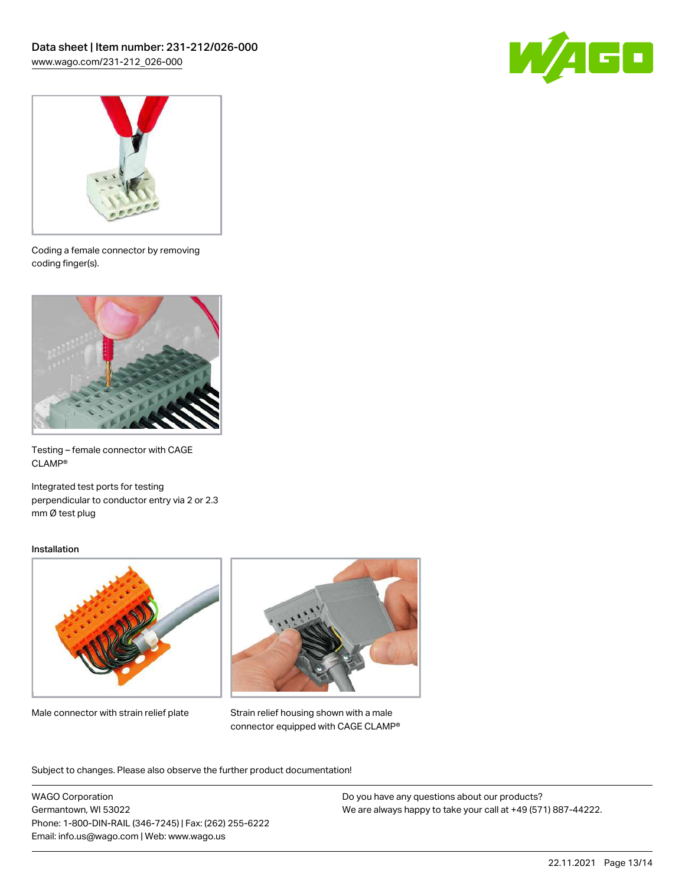



Coding a female connector by removing coding finger(s).



Testing – female connector with CAGE CLAMP®

Integrated test ports for testing perpendicular to conductor entry via 2 or 2.3 mm Ø test plug

#### Installation



Male connector with strain relief plate



Strain relief housing shown with a male connector equipped with CAGE CLAMP®

Subject to changes. Please also observe the further product documentation!

WAGO Corporation Germantown, WI 53022 Phone: 1-800-DIN-RAIL (346-7245) | Fax: (262) 255-6222 Email: info.us@wago.com | Web: www.wago.us